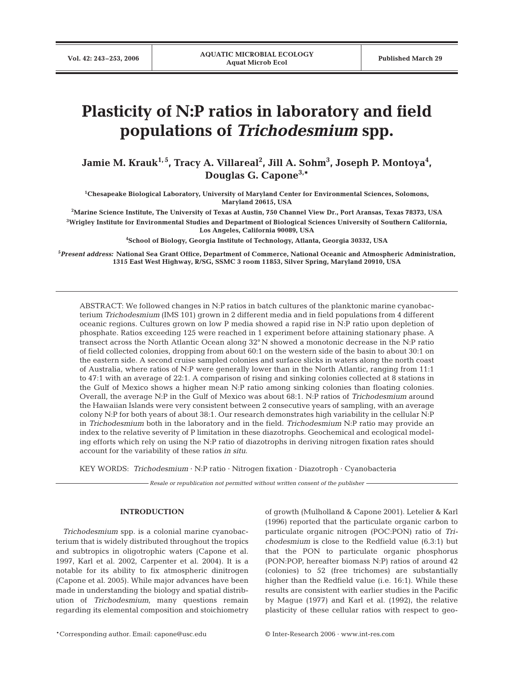# **Plasticity of N:P ratios in laboratory and field populations of** *Trichodesmium* **spp.**

Jamie M. Krauk<sup>1,5</sup>, Tracy A. Villareal<sup>2</sup>, Jill A. Sohm<sup>3</sup>, Joseph P. Montoya<sup>4</sup>, **Douglas G. Capone3,\***

**1 Chesapeake Biological Laboratory, University of Maryland Center for Environmental Sciences, Solomons, Maryland 20615, USA**

**2 Marine Science Institute, The University of Texas at Austin, 750 Channel View Dr., Port Aransas, Texas 78373, USA 3 Wrigley Institute for Environmental Studies and Department of Biological Sciences University of Southern California,**

**Los Angeles, California 90089, USA**

**4 School of Biology, Georgia Institute of Technology, Atlanta, Georgia 30332, USA**

**5** *Present address:* **National Sea Grant Office, Department of Commerce, National Oceanic and Atmospheric Administration, 1315 East West Highway, R/SG, SSMC 3 room 11853, Silver Spring, Maryland 20910, USA**

ABSTRACT: We followed changes in N:P ratios in batch cultures of the planktonic marine cyanobacterium *Trichodesmium* (IMS 101) grown in 2 different media and in field populations from 4 different oceanic regions. Cultures grown on low P media showed a rapid rise in N:P ratio upon depletion of phosphate. Ratios exceeding 125 were reached in 1 experiment before attaining stationary phase. A transect across the North Atlantic Ocean along 32° N showed a monotonic decrease in the N:P ratio of field collected colonies, dropping from about 60:1 on the western side of the basin to about 30:1 on the eastern side. A second cruise sampled colonies and surface slicks in waters along the north coast of Australia, where ratios of N:P were generally lower than in the North Atlantic, ranging from 11:1 to 47:1 with an average of 22:1. A comparison of rising and sinking colonies collected at 8 stations in the Gulf of Mexico shows a higher mean N:P ratio among sinking colonies than floating colonies. Overall, the average N:P in the Gulf of Mexico was about 68:1. N:P ratios of *Trichodesmium* around the Hawaiian Islands were very consistent between 2 consecutive years of sampling, with an average colony N:P for both years of about 38:1. Our research demonstrates high variability in the cellular N:P in *Trichodesmium* both in the laboratory and in the field. *Trichodesmium* N:P ratio may provide an index to the relative severity of P limitation in these diazotrophs. Geochemical and ecological modeling efforts which rely on using the N:P ratio of diazotrophs in deriving nitrogen fixation rates should account for the variability of these ratios *in situ*.

KEY WORDS: *Trichodesmium* · N:P ratio · Nitrogen fixation · Diazotroph · Cyanobacteria

*Resale or republication not permitted without written consent of the publisher*

#### **INTRODUCTION**

*Trichodesmium* spp. is a colonial marine cyanobacterium that is widely distributed throughout the tropics and subtropics in oligotrophic waters (Capone et al. 1997, Karl et al. 2002, Carpenter et al. 2004). It is a notable for its ability to fix atmospheric dinitrogen (Capone et al. 2005). While major advances have been made in understanding the biology and spatial distribution of *Trichodesmium*, many questions remain regarding its elemental composition and stoichiometry of growth (Mulholland & Capone 2001). Letelier & Karl (1996) reported that the particulate organic carbon to particulate organic nitrogen (POC:PON) ratio of *Trichodesmium* is close to the Redfield value (6.3:1) but that the PON to particulate organic phosphorus (PON:POP, hereafter biomass N:P) ratios of around 42 (colonies) to 52 (free trichomes) are substantially higher than the Redfield value (i.e. 16:1). While these results are consistent with earlier studies in the Pacific by Mague (1977) and Karl et al. (1992), the relative plasticity of these cellular ratios with respect to geo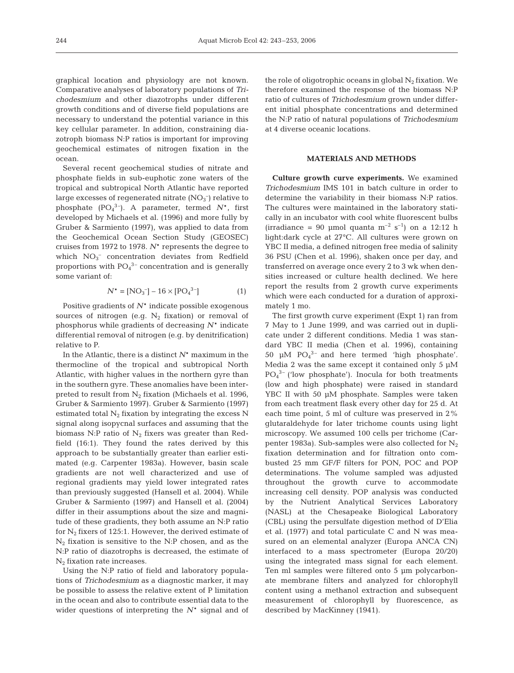graphical location and physiology are not known. Comparative analyses of laboratory populations of *Trichodesmium* and other diazotrophs under different growth conditions and of diverse field populations are necessary to understand the potential variance in this key cellular parameter. In addition, constraining diazotroph biomass N:P ratios is important for improving geochemical estimates of nitrogen fixation in the ocean.

Several recent geochemical studies of nitrate and phosphate fields in sub-euphotic zone waters of the tropical and subtropical North Atlantic have reported large excesses of regenerated nitrate  $(NO<sub>3</sub><sup>-</sup>)$  relative to phosphate (PO4 3–). A parameter, termed *N*\*, first developed by Michaels et al. (1996) and more fully by Gruber & Sarmiento (1997), was applied to data from the Geochemical Ocean Section Study (GEOSEC) cruises from 1972 to 1978. *N*\* represents the degree to which  $NO<sub>3</sub><sup>-</sup>$  concentration deviates from Redfield proportions with  $PO<sub>4</sub><sup>3-</sup>$  concentration and is generally some variant of:

$$
N^* = [NO_3^-] - 16 \times [PO_4^{3-}] \tag{1}
$$

Positive gradients of *N*\* indicate possible exogenous sources of nitrogen (e.g.  $N_2$  fixation) or removal of phosphorus while gradients of decreasing *N*\* indicate differential removal of nitrogen (e.g. by denitrification) relative to P.

In the Atlantic, there is a distinct *N*\* maximum in the thermocline of the tropical and subtropical North Atlantic, with higher values in the northern gyre than in the southern gyre. These anomalies have been interpreted to result from  $N_2$  fixation (Michaels et al. 1996, Gruber & Sarmiento 1997). Gruber & Sarmiento (1997) estimated total  $N_2$  fixation by integrating the excess N signal along isopycnal surfaces and assuming that the biomass N:P ratio of  $N_2$  fixers was greater than Redfield (16:1). They found the rates derived by this approach to be substantially greater than earlier estimated (e.g. Carpenter 1983a). However, basin scale gradients are not well characterized and use of regional gradients may yield lower integrated rates than previously suggested (Hansell et al. 2004). While Gruber & Sarmiento (1997) and Hansell et al. (2004) differ in their assumptions about the size and magnitude of these gradients, they both assume an N:P ratio for  $N_2$  fixers of 125:1. However, the derived estimate of  $N_2$  fixation is sensitive to the N:P chosen, and as the N:P ratio of diazotrophs is decreased, the estimate of  $N_2$  fixation rate increases.

Using the N:P ratio of field and laboratory populations of *Trichodesmium* as a diagnostic marker, it may be possible to assess the relative extent of P limitation in the ocean and also to contribute essential data to the wider questions of interpreting the *N*\* signal and of

the role of oligotrophic oceans in global  $N_2$  fixation. We therefore examined the response of the biomass N:P ratio of cultures of *Trichodesmium* grown under different initial phosphate concentrations and determined the N:P ratio of natural populations of *Trichodesmium* at 4 diverse oceanic locations.

# **MATERIALS AND METHODS**

**Culture growth curve experiments.** We examined *Trichodesmium* IMS 101 in batch culture in order to determine the variability in their biomass N:P ratios. The cultures were maintained in the laboratory statically in an incubator with cool white fluorescent bulbs (irradiance = 90 µmol quanta  $m^{-2}$  s<sup>-1</sup>) on a 12:12 h light:dark cycle at 27°C. All cultures were grown on YBC II media, a defined nitrogen free media of salinity 36 PSU (Chen et al. 1996), shaken once per day, and transferred on average once every 2 to 3 wk when densities increased or culture health declined. We here report the results from 2 growth curve experiments which were each conducted for a duration of approximately 1 mo.

The first growth curve experiment (Expt 1) ran from 7 May to 1 June 1999, and was carried out in duplicate under 2 different conditions. Media 1 was standard YBC II media (Chen et al. 1996), containing 50  $\mu$ M PO<sub>4</sub><sup>3-</sup> and here termed 'high phosphate'. Media 2 was the same except it contained only 5  $\mu$ M  $PO<sub>4</sub><sup>3-</sup>$  ('low phosphate'). Inocula for both treatments (low and high phosphate) were raised in standard YBC II with 50 µM phosphate. Samples were taken from each treatment flask every other day for 25 d. At each time point, 5 ml of culture was preserved in 2% glutaraldehyde for later trichome counts using light microscopy. We assumed 100 cells per trichome (Carpenter 1983a). Sub-samples were also collected for  $N_2$ fixation determination and for filtration onto combusted 25 mm GF/F filters for PON, POC and POP determinations. The volume sampled was adjusted throughout the growth curve to accommodate increasing cell density. POP analysis was conducted by the Nutrient Analytical Services Laboratory (NASL) at the Chesapeake Biological Laboratory (CBL) using the persulfate digestion method of D'Elia et al. (1977) and total particulate C and N was measured on an elemental analyzer (Europa ANCA CN) interfaced to a mass spectrometer (Europa 20/20) using the integrated mass signal for each element. Ten ml samples were filtered onto 5 µm polycarbonate membrane filters and analyzed for chlorophyll content using a methanol extraction and subsequent measurement of chlorophyll by fluorescence, as described by MacKinney (1941).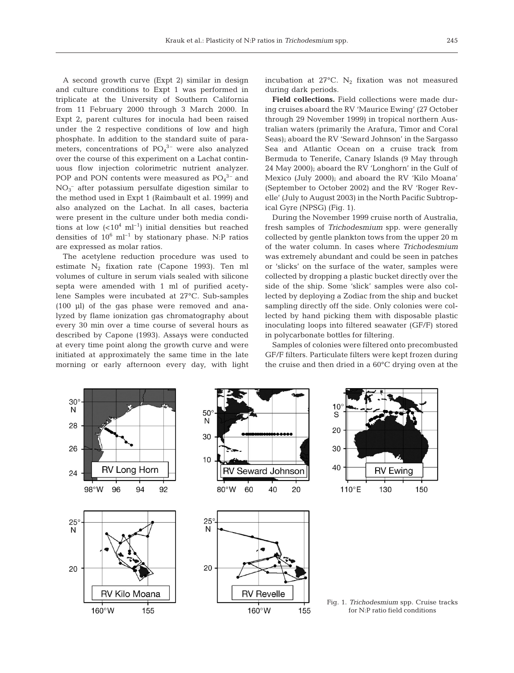A second growth curve (Expt 2) similar in design and culture conditions to Expt 1 was performed in triplicate at the University of Southern California from 11 February 2000 through 3 March 2000. In Expt 2, parent cultures for inocula had been raised under the 2 respective conditions of low and high phosphate. In addition to the standard suite of parameters, concentrations of  $PO<sub>4</sub><sup>3-</sup>$  were also analyzed over the course of this experiment on a Lachat continuous flow injection colorimetric nutrient analyzer. POP and PON contents were measured as  $PO<sub>4</sub><sup>3-</sup>$  and NO3 – after potassium persulfate digestion similar to the method used in Expt 1 (Raimbault et al. 1999) and also analyzed on the Lachat. In all cases, bacteria were present in the culture under both media conditions at low  $(<10<sup>4</sup> m l<sup>-1</sup>)$  initial densities but reached densities of  $10^6$  ml<sup>-1</sup> by stationary phase. N:P ratios are expressed as molar ratios.

The acetylene reduction procedure was used to estimate N<sub>2</sub> fixation rate (Capone 1993). Ten ml volumes of culture in serum vials sealed with silicone septa were amended with 1 ml of purified acetylene Samples were incubated at 27°C. Sub-samples (100 µl) of the gas phase were removed and analyzed by flame ionization gas chromatography about every 30 min over a time course of several hours as described by Capone (1993). Assays were conducted at every time point along the growth curve and were initiated at approximately the same time in the late morning or early afternoon every day, with light

incubation at  $27^{\circ}$ C. N<sub>2</sub> fixation was not measured during dark periods.

**Field collections.** Field collections were made during cruises aboard the RV 'Maurice Ewing' (27 October through 29 November 1999) in tropical northern Australian waters (primarily the Arafura, Timor and Coral Seas); aboard the RV 'Seward Johnson' in the Sargasso Sea and Atlantic Ocean on a cruise track from Bermuda to Tenerife, Canary Islands (9 May through 24 May 2000); aboard the RV 'Longhorn' in the Gulf of Mexico (July 2000); and aboard the RV 'Kilo Moana' (September to October 2002) and the RV 'Roger Revelle' (July to August 2003) in the North Pacific Subtropical Gyre (NPSG) (Fig. 1).

During the November 1999 cruise north of Australia, fresh samples of *Trichodesmium* spp. were generally collected by gentle plankton tows from the upper 20 m of the water column. In cases where *Trichodesmium* was extremely abundant and could be seen in patches or 'slicks' on the surface of the water, samples were collected by dropping a plastic bucket directly over the side of the ship. Some 'slick' samples were also collected by deploying a Zodiac from the ship and bucket sampling directly off the side. Only colonies were collected by hand picking them with disposable plastic inoculating loops into filtered seawater (GF/F) stored in polycarbonate bottles for filtering.

Samples of colonies were filtered onto precombusted GF/F filters. Particulate filters were kept frozen during the cruise and then dried in a 60°C drying oven at the

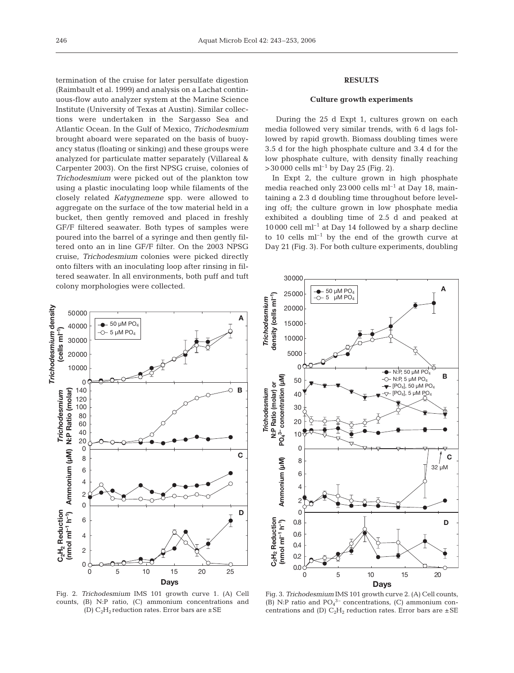termination of the cruise for later persulfate digestion (Raimbault et al. 1999) and analysis on a Lachat continuous-flow auto analyzer system at the Marine Science Institute (University of Texas at Austin). Similar collections were undertaken in the Sargasso Sea and Atlantic Ocean. In the Gulf of Mexico, *Trichodesmium* brought aboard were separated on the basis of buoyancy status (floating or sinking) and these groups were analyzed for particulate matter separately (Villareal & Carpenter 2003). On the first NPSG cruise, colonies of *Trichodesmium* were picked out of the plankton tow using a plastic inoculating loop while filaments of the closely related *Katygnemene* spp. were allowed to aggregate on the surface of the tow material held in a bucket, then gently removed and placed in freshly GF/F filtered seawater. Both types of samples were poured into the barrel of a syringe and then gently filtered onto an in line GF/F filter. On the 2003 NPSG cruise, *Trichodesmium* colonies were picked directly onto filters with an inoculating loop after rinsing in filtered seawater. In all environments, both puff and tuft colony morphologies were collected.

# **RESULTS**

# **Culture growth experiments**

During the 25 d Expt 1, cultures grown on each media followed very similar trends, with 6 d lags followed by rapid growth. Biomass doubling times were 3.5 d for the high phosphate culture and 3.4 d for the low phosphate culture, with density finally reaching  $>$ 30 000 cells ml<sup>-1</sup> by Day 25 (Fig. 2).

In Expt 2, the culture grown in high phosphate media reached only  $23000$  cells ml<sup>-1</sup> at Day 18, maintaining a 2.3 d doubling time throughout before leveling off; the culture grown in low phosphate media exhibited a doubling time of 2.5 d and peaked at  $10000$  cell ml<sup>-1</sup> at Day 14 followed by a sharp decline to 10 cells  $ml^{-1}$  by the end of the growth curve at Day 21 (Fig. 3). For both culture experiments, doubling



Fig. 2. *Trichodesmium* IMS 101 growth curve 1. (A) Cell counts, (B) N:P ratio, (C) ammonium concentrations and (D)  $C_2H_2$  reduction rates. Error bars are  $\pm$  SE



Fig. 3. *Trichodesmium* IMS 101 growth curve 2. (A) Cell counts, (B) N:P ratio and  $PO<sub>4</sub><sup>3-</sup>$  concentrations, (C) ammonium concentrations and (D)  $C_2H_2$  reduction rates. Error bars are  $\pm$  SE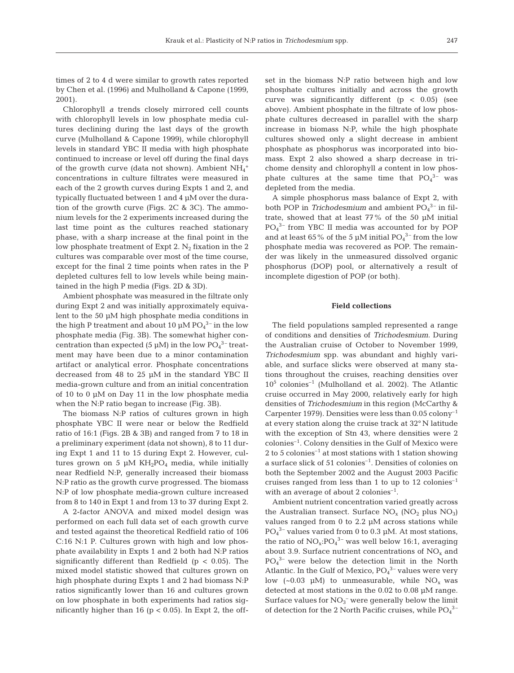times of 2 to 4 d were similar to growth rates reported by Chen et al. (1996) and Mulholland & Capone (1999, 2001).

Chlorophyll *a* trends closely mirrored cell counts with chlorophyll levels in low phosphate media cultures declining during the last days of the growth curve (Mulholland & Capone 1999), while chlorophyll levels in standard YBC II media with high phosphate continued to increase or level off during the final days of the growth curve (data not shown). Ambient  $\mathrm{NH}_4^+$ concentrations in culture filtrates were measured in each of the 2 growth curves during Expts 1 and 2, and typically fluctuated between 1 and 4 µM over the duration of the growth curve (Figs. 2C & 3C). The ammonium levels for the 2 experiments increased during the last time point as the cultures reached stationary phase, with a sharp increase at the final point in the low phosphate treatment of Expt 2.  $N_2$  fixation in the 2 cultures was comparable over most of the time course, except for the final 2 time points when rates in the P depleted cultures fell to low levels while being maintained in the high P media (Figs. 2D & 3D).

Ambient phosphate was measured in the filtrate only during Expt 2 and was initially approximately equivalent to the 50 µM high phosphate media conditions in the high P treatment and about 10  $\mu$ M PO $_4^{3-}$  in the low phosphate media (Fig. 3B). The somewhat higher concentration than expected (5  $\mu$ M) in the low PO<sub>4</sub><sup>3-</sup> treatment may have been due to a minor contamination artifact or analytical error. Phosphate concentrations decreased from 48 to 25 µM in the standard YBC II media-grown culture and from an initial concentration of 10 to 0 µM on Day 11 in the low phosphate media when the N:P ratio began to increase (Fig. 3B).

The biomass N:P ratios of cultures grown in high phosphate YBC II were near or below the Redfield ratio of 16:1 (Figs. 2B & 3B) and ranged from 7 to 18 in a preliminary experiment (data not shown), 8 to 11 during Expt 1 and 11 to 15 during Expt 2. However, cultures grown on 5  $\mu$ M KH<sub>2</sub>PO<sub>4</sub> media, while initially near Redfield N:P, generally increased their biomass N:P ratio as the growth curve progressed. The biomass N:P of low phosphate media-grown culture increased from 8 to 140 in Expt 1 and from 13 to 37 during Expt 2.

A 2-factor ANOVA and mixed model design was performed on each full data set of each growth curve and tested against the theoretical Redfield ratio of 106 C:16 N:1 P. Cultures grown with high and low phosphate availability in Expts 1 and 2 both had N:P ratios significantly different than Redfield ( $p < 0.05$ ). The mixed model statistic showed that cultures grown on high phosphate during Expts 1 and 2 had biomass N:P ratios significantly lower than 16 and cultures grown on low phosphate in both experiments had ratios significantly higher than 16 ( $p < 0.05$ ). In Expt 2, the offset in the biomass N:P ratio between high and low phosphate cultures initially and across the growth curve was significantly different  $(p < 0.05)$  (see above). Ambient phosphate in the filtrate of low phosphate cultures decreased in parallel with the sharp increase in biomass N:P, while the high phosphate cultures showed only a slight decrease in ambient phosphate as phosphorus was incorporated into biomass. Expt 2 also showed a sharp decrease in trichome density and chlorophyll *a* content in low phosphate cultures at the same time that  $PO_4^{3-}$  was depleted from the media.

A simple phosphorus mass balance of Expt 2, with both POP in *Trichodesmium* and ambient PO<sub>4</sub><sup>3-</sup> in filtrate, showed that at least 77% of the 50 µM initial PO4 3– from YBC II media was accounted for by POP and at least 65% of the 5  $\mu$ M initial PO<sub>4</sub><sup>3-</sup> from the low phosphate media was recovered as POP. The remainder was likely in the unmeasured dissolved organic phosphorus (DOP) pool, or alternatively a result of incomplete digestion of POP (or both).

### **Field collections**

The field populations sampled represented a range of conditions and densities of *Trichodesmium*. During the Australian cruise of October to November 1999, *Trichodesmium* spp. was abundant and highly variable, and surface slicks were observed at many stations throughout the cruises, reaching densities over  $10^5$  colonies<sup>-1</sup> (Mulholland et al. 2002). The Atlantic cruise occurred in May 2000, relatively early for high densities of *Trichodesmium* in this region (McCarthy & Carpenter 1979). Densities were less than  $0.05$  colony<sup>-1</sup> at every station along the cruise track at 32° N latitude with the exception of Stn 43, where densities were 2 colonies–1. Colony densities in the Gulf of Mexico were 2 to 5 colonies<sup>-1</sup> at most stations with 1 station showing a surface slick of 51 colonies–1. Densities of colonies on both the September 2002 and the August 2003 Pacific cruises ranged from less than 1 to up to 12 colonies<sup>-1</sup> with an average of about 2 colonies<sup>-1</sup>.

Ambient nutrient concentration varied greatly across the Australian transect. Surface  $NO_x (NO_2)$  plus  $NO_3)$ values ranged from  $0$  to  $2.2 \mu M$  across stations while  $PO<sub>4</sub><sup>3-</sup>$  values varied from 0 to 0.3 µM. At most stations, the ratio of  $NO_x:PO_4^{3-}$  was well below 16:1, averaging about 3.9. Surface nutrient concentrations of  $NO<sub>x</sub>$  and  $PO<sub>4</sub><sup>3-</sup>$  were below the detection limit in the North Atlantic. In the Gulf of Mexico,  $PO_4^{3-}$  values were very low  $(-0.03 \mu M)$  to unmeasurable, while NO<sub>x</sub> was detected at most stations in the 0.02 to 0.08 µM range. Surface values for  $NO<sub>3</sub><sup>-</sup>$  were generally below the limit of detection for the 2 North Pacific cruises, while  $PO_4^{3-}$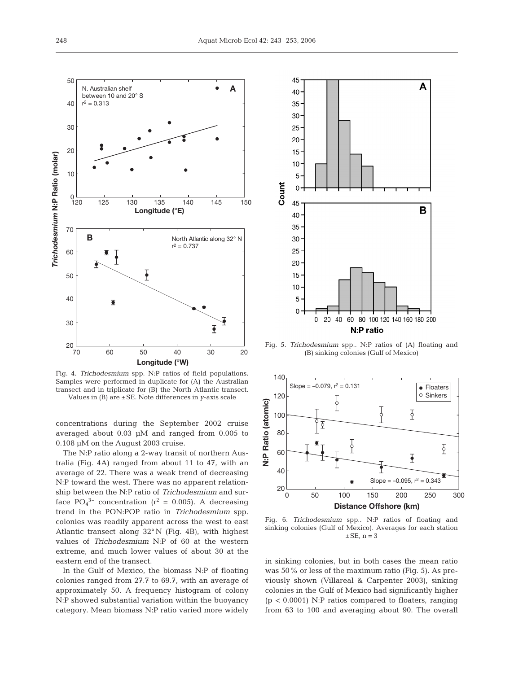

Fig. 4. *Trichodesmium* spp. N:P ratios of field populations. Samples were performed in duplicate for (A) the Australian transect and in triplicate for (B) the North Atlantic transect. Values in (B) are ±SE. Note differences in *y*-axis scale

concentrations during the September 2002 cruise averaged about 0.03 µM and ranged from 0.005 to 0.108 µM on the August 2003 cruise.

The N:P ratio along a 2-way transit of northern Australia (Fig. 4A) ranged from about 11 to 47, with an average of 22. There was a weak trend of decreasing N:P toward the west. There was no apparent relationship between the N:P ratio of *Trichodesmium* and surface  $PO_4^{3-}$  concentration ( $r^2 = 0.005$ ). A decreasing trend in the PON:POP ratio in *Trichodesmium* spp. colonies was readily apparent across the west to east Atlantic transect along 32° N (Fig. 4B), with highest values of *Trichodesmium* N:P of 60 at the western extreme, and much lower values of about 30 at the eastern end of the transect.

In the Gulf of Mexico, the biomass N:P of floating colonies ranged from 27.7 to 69.7, with an average of approximately 50. A frequency histogram of colony N:P showed substantial variation within the buoyancy category. Mean biomass N:P ratio varied more widely



Fig. 5. *Trichodesmium* spp.*.* N:P ratios of (A) floating and (B) sinking colonies (Gulf of Mexico)



Fig. 6. *Trichodesmium* spp.. N:P ratios of floating and sinking colonies (Gulf of Mexico). Averages for each station  $\pm$ SE, n = 3

in sinking colonies, but in both cases the mean ratio was 50% or less of the maximum ratio (Fig. 5). As previously shown (Villareal & Carpenter 2003), sinking colonies in the Gulf of Mexico had significantly higher  $(p < 0.0001)$  N:P ratios compared to floaters, ranging from 63 to 100 and averaging about 90. The overall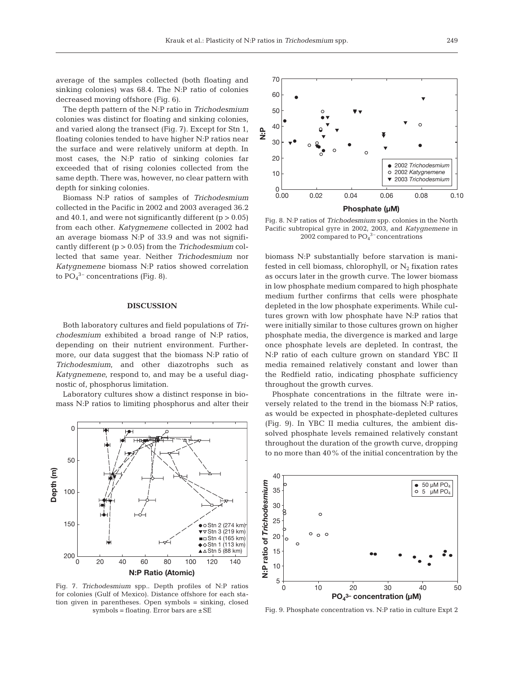average of the samples collected (both floating and sinking colonies) was 68.4. The N:P ratio of colonies decreased moving offshore (Fig. 6).

The depth pattern of the N:P ratio in *Trichodesmium* colonies was distinct for floating and sinking colonies, and varied along the transect (Fig. 7). Except for Stn 1, floating colonies tended to have higher N:P ratios near the surface and were relatively uniform at depth. In most cases, the N:P ratio of sinking colonies far exceeded that of rising colonies collected from the same depth. There was, however, no clear pattern with depth for sinking colonies.

Biomass N:P ratios of samples of *Trichodesmium* collected in the Pacific in 2002 and 2003 averaged 36.2 and 40.1, and were not significantly different  $(p > 0.05)$ from each other. *Katygnemene* collected in 2002 had an average biomass N:P of 33.9 and was not significantly different (p > 0.05) from the *Trichodesmium* collected that same year. Neither *Trichodesmium* nor *Katygnemene* biomass N:P ratios showed correlation to  $PO_4^3$ <sup>-</sup> concentrations (Fig. 8).

#### **DISCUSSION**

Both laboratory cultures and field populations of *Trichodesmium* exhibited a broad range of N:P ratios, depending on their nutrient environment. Furthermore, our data suggest that the biomass N:P ratio of *Trichodesmium*, and other diazotrophs such as *Katygnemene*, respond to, and may be a useful diagnostic of, phosphorus limitation.

Laboratory cultures show a distinct response in biomass N:P ratios to limiting phosphorus and alter their



Fig. 7. *Trichodesmium* spp.. Depth profiles of N:P ratios for colonies (Gulf of Mexico). Distance offshore for each station given in parentheses. Open symbols = sinking, closed symbols = floating. Error bars are  $\pm$  SE



Fig. 8. N:P ratios of *Trichodesmium* spp. colonies in the North Pacific subtropical gyre in 2002, 2003, and *Katygnemene* in 2002 compared to  $PO<sub>4</sub><sup>3-</sup> concentrations$ 

biomass N:P substantially before starvation is manifested in cell biomass, chlorophyll, or  $N_2$  fixation rates as occurs later in the growth curve*.* The lower biomass in low phosphate medium compared to high phosphate medium further confirms that cells were phosphate depleted in the low phosphate experiments. While cultures grown with low phosphate have N:P ratios that were initially similar to those cultures grown on higher phosphate media, the divergence is marked and large once phosphate levels are depleted. In contrast, the N:P ratio of each culture grown on standard YBC II media remained relatively constant and lower than the Redfield ratio, indicating phosphate sufficiency throughout the growth curves.

Phosphate concentrations in the filtrate were inversely related to the trend in the biomass N:P ratios, as would be expected in phosphate-depleted cultures (Fig. 9). In YBC II media cultures, the ambient dissolved phosphate levels remained relatively constant throughout the duration of the growth curve, dropping to no more than 40% of the initial concentration by the



Fig. 9. Phosphate concentration vs. N:P ratio in culture Expt 2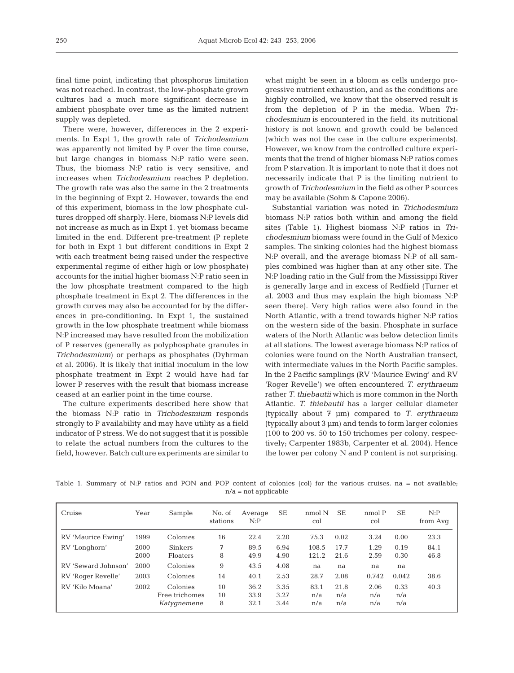final time point, indicating that phosphorus limitation was not reached. In contrast, the low-phosphate grown cultures had a much more significant decrease in ambient phosphate over time as the limited nutrient supply was depleted.

There were, however, differences in the 2 experiments. In Expt 1, the growth rate of *Trichodesmium* was apparently not limited by P over the time course, but large changes in biomass N:P ratio were seen. Thus, the biomass N:P ratio is very sensitive, and increases when *Trichodesmium* reaches P depletion. The growth rate was also the same in the 2 treatments in the beginning of Expt 2. However, towards the end of this experiment, biomass in the low phosphate cultures dropped off sharply. Here, biomass N:P levels did not increase as much as in Expt 1, yet biomass became limited in the end. Different pre-treatment (P replete for both in Expt 1 but different conditions in Expt 2 with each treatment being raised under the respective experimental regime of either high or low phosphate) accounts for the initial higher biomass N:P ratio seen in the low phosphate treatment compared to the high phosphate treatment in Expt 2. The differences in the growth curves may also be accounted for by the differences in pre-conditioning. In Expt 1, the sustained growth in the low phosphate treatment while biomass N:P increased may have resulted from the mobilization of P reserves (generally as polyphosphate granules in *Trichodesmium*) or perhaps as phosphates (Dyhrman et al. 2006). It is likely that initial inoculum in the low phosphate treatment in Expt 2 would have had far lower P reserves with the result that biomass increase ceased at an earlier point in the time course.

The culture experiments described here show that the biomass N:P ratio in *Trichodesmium* responds strongly to P availability and may have utility as a field indicator of P stress. We do not suggest that it is possible to relate the actual numbers from the cultures to the field, however. Batch culture experiments are similar to

what might be seen in a bloom as cells undergo progressive nutrient exhaustion, and as the conditions are highly controlled, we know that the observed result is from the depletion of P in the media. When *Trichodesmium* is encountered in the field, its nutritional history is not known and growth could be balanced (which was not the case in the culture experiments). However, we know from the controlled culture experiments that the trend of higher biomass N:P ratios comes from P starvation. It is important to note that it does not necessarily indicate that P is the limiting nutrient to growth of *Trichodesmium* in the field as other P sources may be available (Sohm & Capone 2006).

Substantial variation was noted in *Trichodesmium* biomass N:P ratios both within and among the field sites (Table 1). Highest biomass N:P ratios in *Trichodesmium* biomass were found in the Gulf of Mexico samples. The sinking colonies had the highest biomass N:P overall, and the average biomass N:P of all samples combined was higher than at any other site. The N:P loading ratio in the Gulf from the Mississippi River is generally large and in excess of Redfield (Turner et al. 2003 and thus may explain the high biomass N:P seen there). Very high ratios were also found in the North Atlantic, with a trend towards higher N:P ratios on the western side of the basin. Phosphate in surface waters of the North Atlantic was below detection limits at all stations. The lowest average biomass N:P ratios of colonies were found on the North Australian transect, with intermediate values in the North Pacific samples. In the 2 Pacific samplings (RV 'Maurice Ewing' and RV 'Roger Revelle') we often encountered *T. erythraeum* rather *T. thiebautii* which is more common in the North Atlantic. *T. thiebautii* has a larger cellular diameter (typically about 7 µm) compared to *T. erythraeum* (typically about 3 µm) and tends to form larger colonies (100 to 200 vs. 50 to 150 trichomes per colony, respectively; Carpenter 1983b, Carpenter et al. 2004). Hence the lower per colony N and P content is not surprising.

Table 1. Summary of N:P ratios and PON and POP content of colonies (col) for the various cruises. na = not available; n/a = not applicable

| Cruise              | Year         | Sample                                    | No. of<br>stations | Average<br>N: P      | <b>SE</b>            | nmol N<br>col      | <b>SE</b>          | nmol P<br>col      | <b>SE</b>          | N:P<br>from Avg |
|---------------------|--------------|-------------------------------------------|--------------------|----------------------|----------------------|--------------------|--------------------|--------------------|--------------------|-----------------|
| RV 'Maurice Ewing'  | 1999         | Colonies                                  | 16                 | 22.4                 | 2.20                 | 75.3               | 0.02               | 3.24               | 0.00               | 23.3            |
| RV 'Longhorn'       | 2000<br>2000 | <b>Sinkers</b><br><b>Floaters</b>         | 7<br>8             | 89.5<br>49.9         | 6.94<br>4.90         | 108.5<br>121.2     | 17.7<br>21.6       | 1.29<br>2.59       | 0.19<br>0.30       | 84.1<br>46.8    |
| RV 'Seward Johnson' | 2000         | Colonies                                  | 9                  | 43.5                 | 4.08                 | na                 | na                 | na                 | na                 |                 |
| RV 'Roger Revelle'  | 2003         | Colonies                                  | 14                 | 40.1                 | 2.53                 | 28.7               | 2.08               | 0.742              | 0.042              | 38.6            |
| RV 'Kilo Moana'     | 2002         | Colonies<br>Free trichomes<br>Katygnemene | 10<br>10<br>8      | 36.2<br>33.9<br>32.1 | 3.35<br>3.27<br>3.44 | 83.1<br>n/a<br>n/a | 21.8<br>n/a<br>n/a | 2.06<br>n/a<br>n/a | 0.33<br>n/a<br>n/a | 40.3            |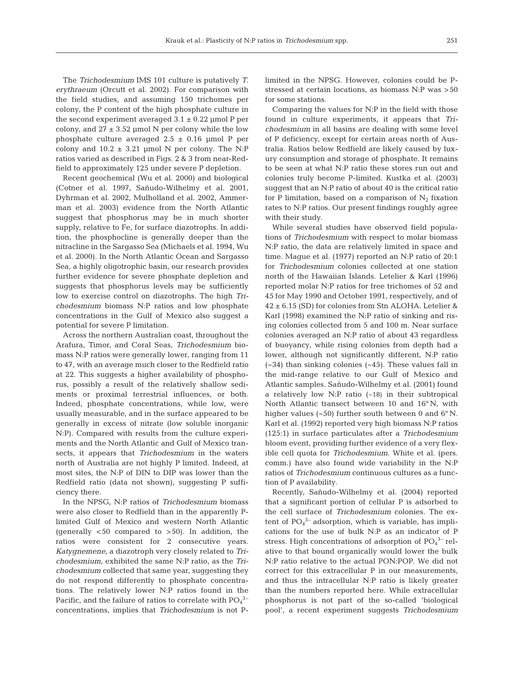The *Trichodesmium* IMS 101 culture is putatively *T. erythraeum* (Orcutt et al. 2002)*.* For comparison with the field studies, and assuming 150 trichomes per colony, the P content of the high phosphate culture in the second experiment averaged  $3.1 \pm 0.22$  µmol P per colony, and  $27 \pm 3.52$  µmol N per colony while the low phosphate culture averaged  $2.5 \pm 0.16$  µmol P per colony and  $10.2 \pm 3.21$  µmol N per colony. The N:P ratios varied as described in Figs. 2 & 3 from near-Redfield to approximately 125 under severe P depletion.

Recent geochemical (Wu et al. 2000) and biological (Cotner et al. 1997, Sañudo-Wilhelmy et al. 2001, Dyhrman et al. 2002, Mulholland et al. 2002, Ammerman et al. 2003) evidence from the North Atlantic suggest that phosphorus may be in much shorter supply, relative to Fe, for surface diazotrophs. In addition, the phosphocline is generally deeper than the nitracline in the Sargasso Sea (Michaels et al. 1994, Wu et al. 2000). In the North Atlantic Ocean and Sargasso Sea, a highly oligotrophic basin, our research provides further evidence for severe phosphate depletion and suggests that phosphorus levels may be sufficiently low to exercise control on diazotrophs. The high *Trichodesmium* biomass N:P ratios and low phosphate concentrations in the Gulf of Mexico also suggest a potential for severe P limitation.

Across the northern Australian coast, throughout the Arafura, Timor, and Coral Seas, *Trichodesmium* biomass N:P ratios were generally lower, ranging from 11 to 47, with an average much closer to the Redfield ratio at 22. This suggests a higher availability of phosphorus, possibly a result of the relatively shallow sediments or proximal terrestrial influences, or both. Indeed, phosphate concentrations, while low, were usually measurable, and in the surface appeared to be generally in excess of nitrate (low soluble inorganic N:P). Compared with results from the culture experiments and the North Atlantic and Gulf of Mexico transects, it appears that *Trichodesmium* in the waters north of Australia are not highly P limited. Indeed, at most sites, the N:P of DIN to DIP was lower than the Redfield ratio (data not shown), suggesting P sufficiency there.

In the NPSG, N:P ratios of *Trichodesmium* biomass were also closer to Redfield than in the apparently Plimited Gulf of Mexico and western North Atlantic (generally  $<50$  compared to  $>50$ ). In addition, the ratios were consistent for 2 consecutive years. *Katygnemene*, a diazotroph very closely related to *Trichodesmium*, exhibited the same N:P ratio, as the *Trichodesmium* collected that same year, suggesting they do not respond differently to phosphate concentrations. The relatively lower N:P ratios found in the Pacific, and the failure of ratios to correlate with  $PO<sub>4</sub><sup>3</sup>$ concentrations, implies that *Trichodesmium* is not P-

limited in the NPSG. However, colonies could be Pstressed at certain locations, as biomass N:P was >50 for some stations.

Comparing the values for N:P in the field with those found in culture experiments, it appears that *Trichodesmium* in all basins are dealing with some level of P deficiency, except for certain areas north of Australia. Ratios below Redfield are likely caused by luxury consumption and storage of phosphate. It remains to be seen at what N:P ratio these stores run out and colonies truly become P-limited. Kustka et al. (2003) suggest that an N:P ratio of about 40 is the critical ratio for P limitation, based on a comparison of  $N_2$  fixation rates to N:P ratios. Our present findings roughly agree with their study.

While several studies have observed field populations of *Trichodesmium* with respect to molar biomass N:P ratio, the data are relatively limited in space and time. Mague et al. (1977) reported an N:P ratio of 20:1 for *Trichodesmium* colonies collected at one station north of the Hawaiian Islands. Letelier & Karl (1996) reported molar N:P ratios for free trichomes of 52 and 45 for May 1990 and October 1991, respectively, and of 42 ± 6.15 (SD) for colonies from Stn ALOHA. Letelier & Karl (1998) examined the N:P ratio of sinking and rising colonies collected from 5 and 100 m. Near surface colonies averaged an N:P ratio of about 43 regardless of buoyancy, while rising colonies from depth had a lower, although not significantly different, N:P ratio (~34) than sinking colonies (~45). These values fall in the mid-range relative to our Gulf of Mexico and Atlantic samples. Sañudo-Wilhelmy et al. (2001) found a relatively low N:P ratio (~18) in their subtropical North Atlantic transect between 10 and 16° N, with higher values ( $\sim$ 50) further south between 0 and  $6^{\circ}$  N. Karl et al. (1992) reported very high biomass N:P ratios (125:1) in surface particulates after a *Trichodesmium* bloom event, providing further evidence of a very flexible cell quota for *Trichodesmium*. White et al. (pers. comm.) have also found wide variability in the N:P ratios of *Trichodesmium* continuous cultures as a function of P availability.

Recently, Sañudo-Wilhelmy et al. (2004) reported that a significant portion of cellular P is adsorbed to the cell surface of *Trichodesmium* colonies. The extent of  $PO_4^3$ <sup>-</sup> adsorption, which is variable, has implications for the use of bulk N:P as an indicator of P stress. High concentrations of adsorption of  $PO<sub>4</sub><sup>3-</sup>$  relative to that bound organically would lower the bulk N:P ratio relative to the actual PON:POP. We did not correct for this extracellular P in our measurements, and thus the intracellular N:P ratio is likely greater than the numbers reported here. While extracellular phosphorus is not part of the so-called 'biological pool', a recent experiment suggests *Trichodesmium*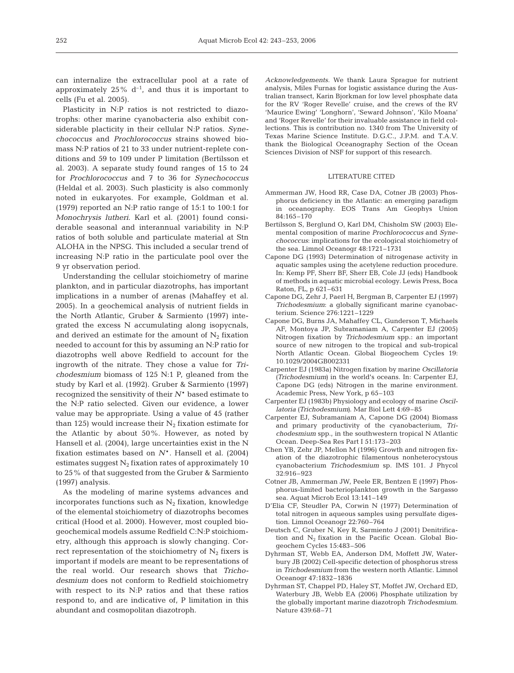can internalize the extracellular pool at a rate of approximately  $25\%$  d<sup>-1</sup>, and thus it is important to cells (Fu et al. 2005).

Plasticity in N:P ratios is not restricted to diazotrophs: other marine cyanobacteria also exhibit considerable placticity in their cellular N:P ratios. *Synechococcus* and *Prochlorococcus* strains showed biomass N:P ratios of 21 to 33 under nutrient-replete conditions and 59 to 109 under P limitation (Bertilsson et al. 2003). A separate study found ranges of 15 to 24 for *Prochlorococcus* and 7 to 36 for *Synechococcus* (Heldal et al. 2003). Such plasticity is also commonly noted in eukaryotes. For example, Goldman et al. (1979) reported an N:P ratio range of 15:1 to 100:1 for *Monochrysis lutheri*. Karl et al. (2001) found considerable seasonal and interannual variability in N:P ratios of both soluble and particulate material at Stn ALOHA in the NPSG. This included a secular trend of increasing N:P ratio in the particulate pool over the 9 yr observation period.

Understanding the cellular stoichiometry of marine plankton, and in particular diazotrophs, has important implications in a number of arenas (Mahaffey et al. 2005). In a geochemical analysis of nutrient fields in the North Atlantic, Gruber & Sarmiento (1997) integrated the excess N accumulating along isopycnals, and derived an estimate for the amount of  $N_2$  fixation needed to account for this by assuming an N:P ratio for diazotrophs well above Redfield to account for the ingrowth of the nitrate. They chose a value for *Trichodesmium* biomass of 125 N:1 P, gleaned from the study by Karl et al. (1992). Gruber & Sarmiento (1997) recognized the sensitivity of their *N*\* based estimate to the N:P ratio selected. Given our evidence, a lower value may be appropriate. Using a value of 45 (rather than 125) would increase their  $N_2$  fixation estimate for the Atlantic by about 50%. However, as noted by Hansell et al. (2004), large uncertainties exist in the N fixation estimates based on  $N^*$ . Hansell et al. (2004) estimates suggest  $N_2$  fixation rates of approximately 10 to 25% of that suggested from the Gruber & Sarmiento (1997) analysis.

As the modeling of marine systems advances and incorporates functions such as  $N_2$  fixation, knowledge of the elemental stoichiometry of diazotrophs becomes critical (Hood et al. 2000). However, most coupled biogeochemical models assume Redfield C:N:P stoichiometry, although this approach is slowly changing. Correct representation of the stoichiometry of  $N_2$  fixers is important if models are meant to be representations of the real world. Our research shows that *Trichodesmium* does not conform to Redfield stoichiometry with respect to its N:P ratios and that these ratios respond to, and are indicative of, P limitation in this abundant and cosmopolitan diazotroph.

*Acknowledgements.* We thank Laura Sprague for nutrient analysis, Miles Furnas for logistic assistance during the Australian transect, Karin Bjorkman for low level phosphate data for the RV 'Roger Revelle' cruise, and the crews of the RV 'Maurice Ewing' 'Longhorn', 'Seward Johnson', 'Kilo Moana' and 'Roger Revelle' for their invaluable assistance in field collections. This is contribution no. 1340 from The University of Texas Marine Science Institute. D.G.C., J.P.M. and T.A.V. thank the Biological Oceanography Section of the Ocean Sciences Division of NSF for support of this research.

#### LITERATURE CITED

- Ammerman JW, Hood RR, Case DA, Cotner JB (2003) Phosphorus deficiency in the Atlantic: an emerging paradigm in oceanography. EOS Trans Am Geophys Union 84:165–170
- Bertilsson S, Berglund O, Karl DM, Chisholm SW (2003) Elemental composition of marine *Prochlorococcus* and *Synechococcus*: implications for the ecological stoichiometry of the sea. Limnol Oceanogr 48:1721–1731
- Capone DG (1993) Determination of nitrogenase activity in aquatic samples using the acetylene reduction procedure. In: Kemp PF, Sherr BF, Sherr EB, Cole JJ (eds) Handbook of methods in aquatic microbial ecology. Lewis Press, Boca Raton, FL, p 621–631
- Capone DG, Zehr J, Paerl H, Bergman B, Carpenter EJ (1997) *Trichodesmium*: a globally significant marine cyanobacterium. Science 276:1221–1229
- Capone DG, Burns JA, Mahaffey CL, Gunderson T, Michaels AF, Montoya JP, Subramaniam A, Carpenter EJ (2005) Nitrogen fixation by *Trichodesmium* spp.: an important source of new nitrogen to the tropical and sub-tropical North Atlantic Ocean. Global Biogeochem Cycles 19: 10.1029/2004GB002331
- Carpenter EJ (1983a) Nitrogen fixation by marine *Oscillatoria (Trichodesmium)* in the world's oceans. In: Carpenter EJ, Capone DG (eds) Nitrogen in the marine environment. Academic Press, New York, p 65–103
- Carpenter EJ (1983b) Physiology and ecology of marine *Oscillatoria (Trichodesmium)*. Mar Biol Lett 4:69–85
- Carpenter EJ, Subramaniam A, Capone DG (2004) Biomass and primary productivity of the cyanobacterium, *Trichodesmium* spp., in the southwestern tropical N Atlantic Ocean. Deep-Sea Res Part I 51:173–203
- Chen YB, Zehr JP, Mellon M (1996) Growth and nitrogen fixation of the diazotrophic filamentous nonheterocystous cyanobacterium *Trichodesmium* sp. IMS 101. J Phycol 32:916–923
- Cotner JB, Ammerman JW, Peele ER, Bentzen E (1997) Phosphorus-limited bacterioplankton growth in the Sargasso sea. Aquat Microb Ecol 13:141–149
- D'Elia CF, Steudler PA, Corwin N (1977) Determination of total nitrogen in aqueous samples using persulfate digestion. Limnol Oceanogr 22:760–764
- Deutsch C, Gruber N, Key R, Sarmiento J (2001) Denitrification and  $N_2$  fixation in the Pacific Ocean. Global Biogeochem Cycles 15:483–506
- Dyhrman ST, Webb EA, Anderson DM, Moffett JW, Waterbury JB (2002) Cell-specific detection of phosphorus stress in *Trichodesmium* from the western north Atlantic. Limnol Oceanogr 47:1832–1836
- Dyhrman ST, Chappel PD, Haley ST, Moffet JW, Orchard ED, Waterbury JB, Webb EA (2006) Phosphate utilization by the globally important marine diazotroph *Trichodesmium*. Nature 439:68–71